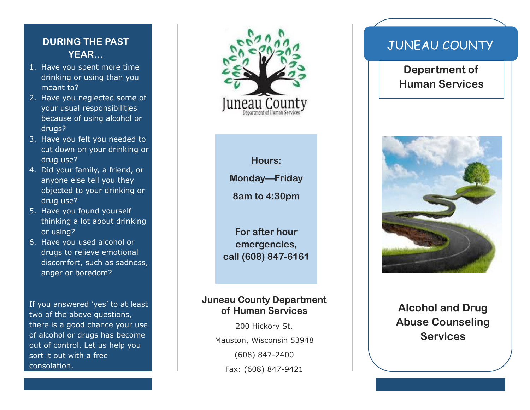## **DURING THE PAST YEAR…**

- 1. Have you spent more time drinking or using than you meant to?
- 2. Have you neglected some of your usual responsibilities because of using alcohol or drugs?
- 3. Have you felt you needed to cut down on your drinking or drug use?
- 4. Did your family, a friend, or anyone else tell you they objected to your drinking or drug use?
- 5. Have you found yourself thinking a lot about drinking or using?
- 6. Have you used alcohol or drugs to relieve emotional discomfort, such as sadness, anger or boredom?

If you answered 'yes' to at least two of the above questions, there is a good chance your use of alcohol or drugs has become out of control. Let us help you sort it out with a free consolation.



**Hours:**

**Monday—Friday**

**8am to 4:30pm**

**For after hour emergencies, call (608) 847-6161**

#### **Juneau County Department of Human Services**

200 Hickory St. Mauston, Wisconsin 53948 (608) 847-2400 Fax: (608) 847-9421

# JUNEAU COUNTY

**Department of Human Services**



**Alcohol and Drug Abuse Counseling Services**